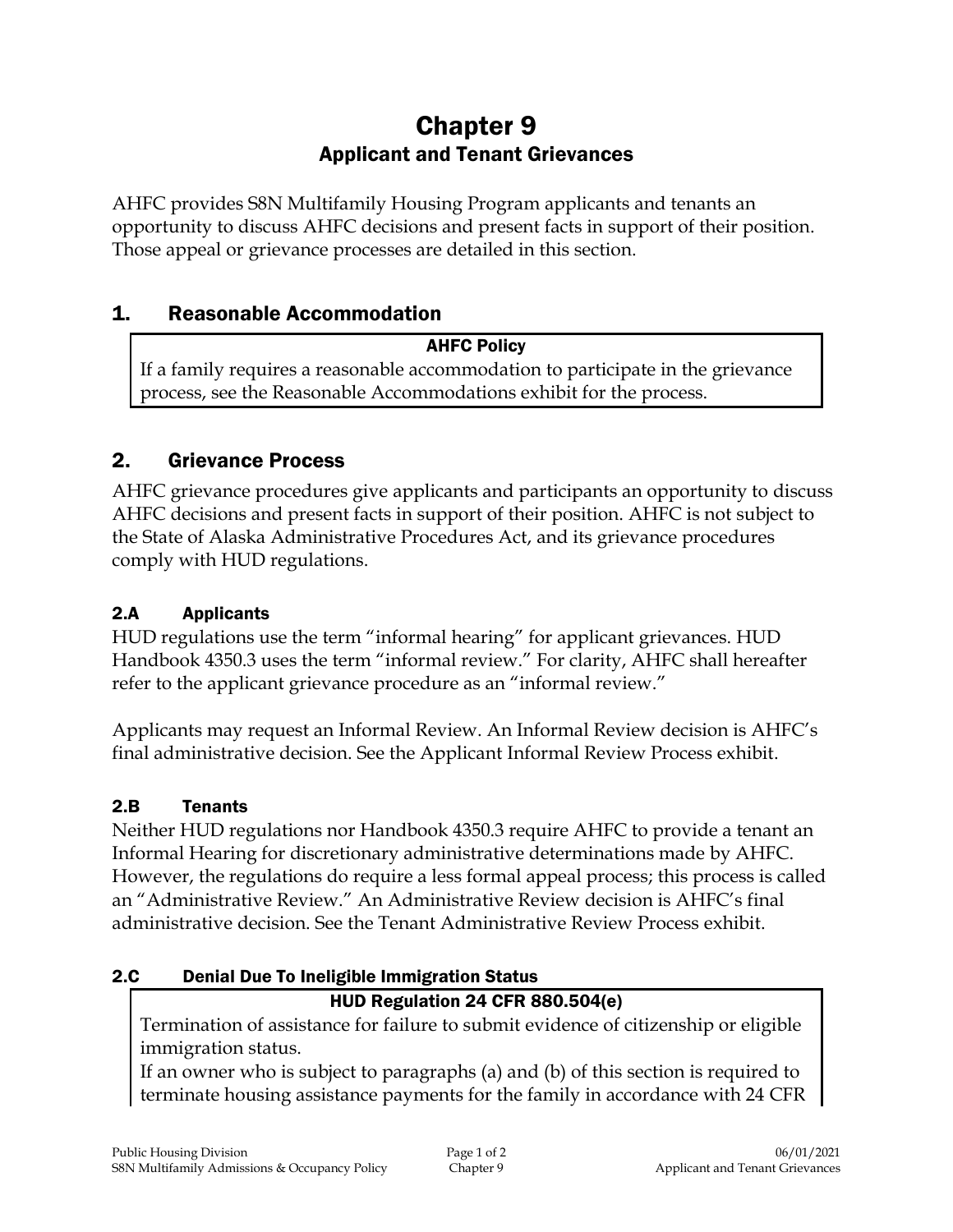# Chapter 9 Applicant and Tenant Grievances

AHFC provides S8N Multifamily Housing Program applicants and tenants an opportunity to discuss AHFC decisions and present facts in support of their position. Those appeal or grievance processes are detailed in this section.

# 1. Reasonable Accommodation

# AHFC Policy

If a family requires a reasonable accommodation to participate in the grievance process, see the Reasonable Accommodations exhibit for the process.

# 2. Grievance Process

AHFC grievance procedures give applicants and participants an opportunity to discuss AHFC decisions and present facts in support of their position. AHFC is not subject to the State of Alaska Administrative Procedures Act, and its grievance procedures comply with HUD regulations.

# 2.A Applicants

HUD regulations use the term "informal hearing" for applicant grievances. HUD Handbook 4350.3 uses the term "informal review." For clarity, AHFC shall hereafter refer to the applicant grievance procedure as an "informal review."

Applicants may request an Informal Review. An Informal Review decision is AHFC's final administrative decision. See the Applicant Informal Review Process exhibit.

#### 2.B Tenants

Neither HUD regulations nor Handbook 4350.3 require AHFC to provide a tenant an Informal Hearing for discretionary administrative determinations made by AHFC. However, the regulations do require a less formal appeal process; this process is called an "Administrative Review." An Administrative Review decision is AHFC's final administrative decision. See the Tenant Administrative Review Process exhibit.

# 2.C Denial Due To Ineligible Immigration Status

# HUD Regulation 24 CFR 880.504(e)

Termination of assistance for failure to submit evidence of citizenship or eligible immigration status.

If an owner who is subject to paragraphs (a) and (b) of this section is required to terminate housing assistance payments for the family in accordance with 24 CFR